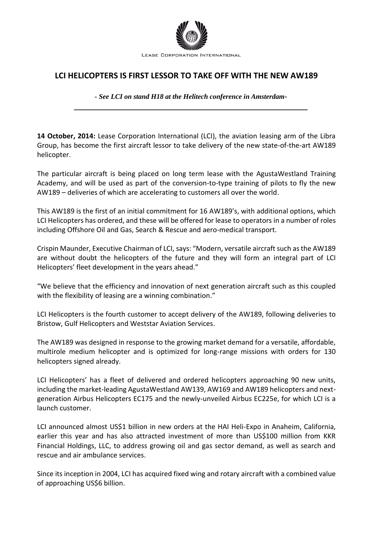

## **LCI HELICOPTERS IS FIRST LESSOR TO TAKE OFF WITH THE NEW AW189**

*- See LCI on stand H18 at the Helitech conference in Amsterdam***- \_\_\_\_\_\_\_\_\_\_\_\_\_\_\_\_\_\_\_\_\_\_\_\_\_\_\_\_\_\_\_\_\_\_\_\_\_\_\_\_\_\_\_\_\_\_\_\_\_\_\_\_**

**14 October, 2014:** Lease Corporation International (LCI), the aviation leasing arm of the Libra Group, has become the first aircraft lessor to take delivery of the new state-of-the-art AW189 helicopter.

The particular aircraft is being placed on long term lease with the AgustaWestland Training Academy, and will be used as part of the conversion-to-type training of pilots to fly the new AW189 – deliveries of which are accelerating to customers all over the world.

This AW189 is the first of an initial commitment for 16 AW189's, with additional options, which LCI Helicopters has ordered, and these will be offered for lease to operators in a number of roles including Offshore Oil and Gas, Search & Rescue and aero-medical transport.

Crispin Maunder, Executive Chairman of LCI, says: "Modern, versatile aircraft such as the AW189 are without doubt the helicopters of the future and they will form an integral part of LCI Helicopters' fleet development in the years ahead."

"We believe that the efficiency and innovation of next generation aircraft such as this coupled with the flexibility of leasing are a winning combination."

LCI Helicopters is the fourth customer to accept delivery of the AW189, following deliveries to Bristow, Gulf Helicopters and Weststar Aviation Services.

The AW189 was designed in response to the growing market demand for a versatile, affordable, multirole medium helicopter and is optimized for long-range missions with orders for 130 helicopters signed already.

LCI Helicopters' has a fleet of delivered and ordered helicopters approaching 90 new units, including the market-leading AgustaWestland AW139, AW169 and AW189 helicopters and nextgeneration Airbus Helicopters EC175 and the newly-unveiled Airbus EC225e, for which LCI is a launch customer.

LCI announced almost US\$1 billion in new orders at the HAI Heli-Expo in Anaheim, California, earlier this year and has also attracted investment of more than US\$100 million from KKR Financial Holdings, LLC, to address growing oil and gas sector demand, as well as search and rescue and air ambulance services.

Since its inception in 2004, LCI has acquired fixed wing and rotary aircraft with a combined value of approaching US\$6 billion.